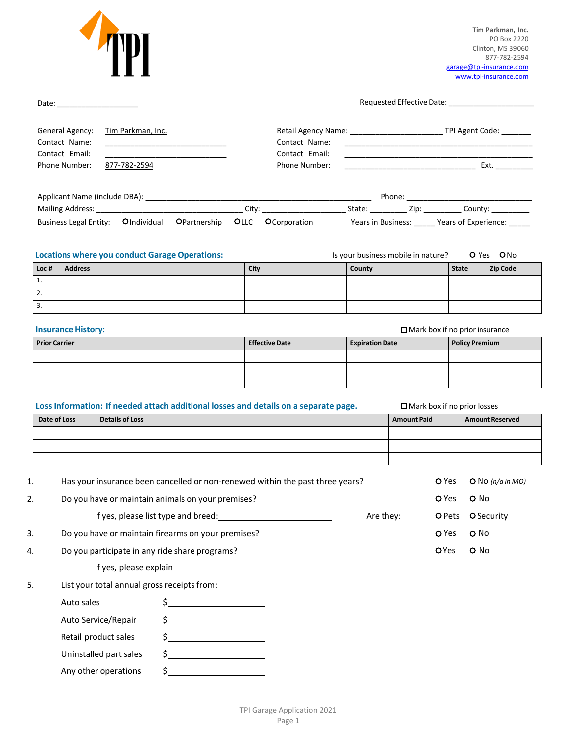

**Tim Parkman, Inc.** PO Box 2220 Clinton, MS 39060 877-782-2594 [garage@tpi-insurance.com](mailto:garage@tpi-insurance.com) [www.tpi-insurance.com](http://tpi-insurance.com/)

| General Agency:<br>Contact Name:<br>Contact Email:<br>Phone Number: | Tim Parkman, Inc.<br>877-782-2594 |                                                                                                                                                                                                                                                                                                                                                                                                                                                                                                                  | Retail Agency Name: ________________________________ TPI Agent Code: _________<br>Contact Name:<br>Contact Email:<br>Phone Number: |                        |                                       |              |                        |  |
|---------------------------------------------------------------------|-----------------------------------|------------------------------------------------------------------------------------------------------------------------------------------------------------------------------------------------------------------------------------------------------------------------------------------------------------------------------------------------------------------------------------------------------------------------------------------------------------------------------------------------------------------|------------------------------------------------------------------------------------------------------------------------------------|------------------------|---------------------------------------|--------------|------------------------|--|
|                                                                     |                                   |                                                                                                                                                                                                                                                                                                                                                                                                                                                                                                                  | Business Legal Entity: Olndividual OPartnership OLLC OCorporation Years in Business: _____ Years of Experience: _____              |                        |                                       |              |                        |  |
|                                                                     |                                   | <b>Locations where you conduct Garage Operations:</b>                                                                                                                                                                                                                                                                                                                                                                                                                                                            |                                                                                                                                    |                        | Is your business mobile in nature?    |              | O Yes ONO              |  |
| <b>Address</b><br>Loc#<br>1.                                        |                                   |                                                                                                                                                                                                                                                                                                                                                                                                                                                                                                                  | City                                                                                                                               | County                 |                                       | <b>State</b> | <b>Zip Code</b>        |  |
| 2.                                                                  |                                   |                                                                                                                                                                                                                                                                                                                                                                                                                                                                                                                  |                                                                                                                                    |                        |                                       |              |                        |  |
| 3.                                                                  |                                   |                                                                                                                                                                                                                                                                                                                                                                                                                                                                                                                  |                                                                                                                                    |                        |                                       |              |                        |  |
| <b>Insurance History:</b>                                           |                                   |                                                                                                                                                                                                                                                                                                                                                                                                                                                                                                                  |                                                                                                                                    |                        | $\Box$ Mark box if no prior insurance |              |                        |  |
| <b>Prior Carrier</b>                                                |                                   |                                                                                                                                                                                                                                                                                                                                                                                                                                                                                                                  | <b>Effective Date</b>                                                                                                              | <b>Expiration Date</b> |                                       |              | <b>Policy Premium</b>  |  |
|                                                                     |                                   |                                                                                                                                                                                                                                                                                                                                                                                                                                                                                                                  |                                                                                                                                    |                        |                                       |              |                        |  |
|                                                                     |                                   |                                                                                                                                                                                                                                                                                                                                                                                                                                                                                                                  |                                                                                                                                    |                        |                                       |              |                        |  |
|                                                                     |                                   |                                                                                                                                                                                                                                                                                                                                                                                                                                                                                                                  | Loss Information: If needed attach additional losses and details on a separate page.                                               |                        | $\square$ Mark box if no prior losses |              |                        |  |
| Date of Loss                                                        | <b>Details of Loss</b>            |                                                                                                                                                                                                                                                                                                                                                                                                                                                                                                                  |                                                                                                                                    |                        | <b>Amount Paid</b>                    |              | <b>Amount Reserved</b> |  |
|                                                                     |                                   |                                                                                                                                                                                                                                                                                                                                                                                                                                                                                                                  |                                                                                                                                    |                        |                                       |              |                        |  |
|                                                                     |                                   |                                                                                                                                                                                                                                                                                                                                                                                                                                                                                                                  |                                                                                                                                    |                        |                                       |              |                        |  |
|                                                                     |                                   |                                                                                                                                                                                                                                                                                                                                                                                                                                                                                                                  | Has your insurance been cancelled or non-renewed within the past three years?                                                      |                        |                                       | O Yes        |                        |  |
|                                                                     |                                   | Do you have or maintain animals on your premises?                                                                                                                                                                                                                                                                                                                                                                                                                                                                |                                                                                                                                    |                        |                                       | O Yes        | O No                   |  |
|                                                                     |                                   | If yes, please list type and breed:                                                                                                                                                                                                                                                                                                                                                                                                                                                                              |                                                                                                                                    | Are they:              |                                       |              | O Pets O Security      |  |
|                                                                     |                                   | Do you have or maintain firearms on your premises?                                                                                                                                                                                                                                                                                                                                                                                                                                                               |                                                                                                                                    |                        |                                       | O Yes        | O No                   |  |
|                                                                     |                                   | Do you participate in any ride share programs?                                                                                                                                                                                                                                                                                                                                                                                                                                                                   |                                                                                                                                    |                        |                                       | OYes         | O No                   |  |
|                                                                     |                                   |                                                                                                                                                                                                                                                                                                                                                                                                                                                                                                                  |                                                                                                                                    |                        |                                       |              |                        |  |
|                                                                     |                                   | List your total annual gross receipts from:                                                                                                                                                                                                                                                                                                                                                                                                                                                                      |                                                                                                                                    |                        |                                       |              | O No (n/a in MO)       |  |
| Auto sales                                                          |                                   | $\begin{picture}(20,10) \put(0,0){\line(1,0){10}} \put(15,0){\line(1,0){10}} \put(15,0){\line(1,0){10}} \put(15,0){\line(1,0){10}} \put(15,0){\line(1,0){10}} \put(15,0){\line(1,0){10}} \put(15,0){\line(1,0){10}} \put(15,0){\line(1,0){10}} \put(15,0){\line(1,0){10}} \put(15,0){\line(1,0){10}} \put(15,0){\line(1,0){10}} \put(15,0){\line(1$                                                                                                                                                              |                                                                                                                                    |                        |                                       |              |                        |  |
|                                                                     | Auto Service/Repair               | $\begin{picture}(20,10) \put(0,0){\line(1,0){10}} \put(15,0){\line(1,0){10}} \put(15,0){\line(1,0){10}} \put(15,0){\line(1,0){10}} \put(15,0){\line(1,0){10}} \put(15,0){\line(1,0){10}} \put(15,0){\line(1,0){10}} \put(15,0){\line(1,0){10}} \put(15,0){\line(1,0){10}} \put(15,0){\line(1,0){10}} \put(15,0){\line(1,0){10}} \put(15,0){\line(1$                                                                                                                                                              |                                                                                                                                    |                        |                                       |              |                        |  |
|                                                                     | Retail product sales              |                                                                                                                                                                                                                                                                                                                                                                                                                                                                                                                  |                                                                                                                                    |                        |                                       |              |                        |  |
|                                                                     | Uninstalled part sales            | $\begin{array}{c c} \n \multicolumn{3}{c }{\textbf{\small .}} & \multicolumn{3}{c }{\textbf{\small .}} & \multicolumn{3}{c }{\textbf{\small .}} & \multicolumn{3}{c }{\textbf{\small .}} & \multicolumn{3}{c }{\textbf{\small .}} & \multicolumn{3}{c }{\textbf{\small .}} & \multicolumn{3}{c }{\textbf{\small .}} & \multicolumn{3}{c }{\textbf{\small .}} & \multicolumn{3}{c }{\textbf{\small .}} & \multicolumn{3}{c }{\textbf{\small .}} & \multicolumn{3}{c }{\textbf{\small .}} & \multicolumn{3}{c }{\$ |                                                                                                                                    |                        |                                       |              |                        |  |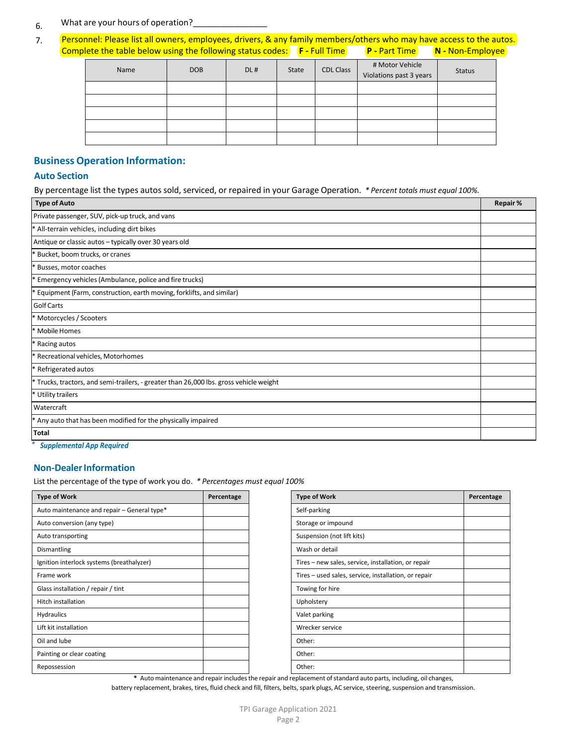#### 6. What are your hours of operation?

7. Personnel: Please list all owners, employees, drivers, & any family members/others who may have access to the autos. Complete the table below using the following status codes: F - Full Time **P** - Part Time **N** - Non-Employee

| Name | <b>DOB</b> | DL# | State | <b>CDL Class</b> | # Motor Vehicle<br>Violations past 3 years | <b>Status</b> |
|------|------------|-----|-------|------------------|--------------------------------------------|---------------|
|      |            |     |       |                  |                                            |               |
|      |            |     |       |                  |                                            |               |
|      |            |     |       |                  |                                            |               |
|      |            |     |       |                  |                                            |               |
|      |            |     |       |                  |                                            |               |

# **Business Operation Information:**

# **Auto Section**

By percentage list the types autos sold, serviced, or repaired in your Garage Operation. *\* Percent totals must equal 100%.*

| <b>Type of Auto</b>                                                                    | Repair% |
|----------------------------------------------------------------------------------------|---------|
| Private passenger, SUV, pick-up truck, and vans                                        |         |
| All-terrain vehicles, including dirt bikes                                             |         |
| Antique or classic autos - typically over 30 years old                                 |         |
| Bucket, boom trucks, or cranes                                                         |         |
| Busses, motor coaches                                                                  |         |
| Emergency vehicles (Ambulance, police and fire trucks)                                 |         |
| Equipment (Farm, construction, earth moving, forklifts, and similar)                   |         |
| Golf Carts                                                                             |         |
| * Motorcycles / Scooters                                                               |         |
| * Mobile Homes                                                                         |         |
| Racing autos                                                                           |         |
| Recreational vehicles, Motorhomes                                                      |         |
| Refrigerated autos                                                                     |         |
| * Trucks, tractors, and semi-trailers, - greater than 26,000 lbs. gross vehicle weight |         |
| * Utility trailers                                                                     |         |
| Watercraft                                                                             |         |
| Any auto that has been modified for the physically impaired                            |         |
| <b>Total</b>                                                                           |         |

*\* Supplemental App Required*

### **Non-Dealer Information**

List the percentage of the type of work you do. *\* Percentages must equal 100%* 

| <b>Type of Work</b>                         | Percentage |
|---------------------------------------------|------------|
| Auto maintenance and repair - General type* |            |
| Auto conversion (any type)                  |            |
| Auto transporting                           |            |
| Dismantling                                 |            |
| Ignition interlock systems (breathalyzer)   |            |
| Frame work                                  |            |
| Glass installation / repair / tint          |            |
| <b>Hitch installation</b>                   |            |
| Hydraulics                                  |            |
| Lift kit installation                       |            |
| Oil and lube                                |            |
| Painting or clear coating                   |            |
| Repossession                                |            |

**\*** Auto maintenance and repair includesthe repair and replacement ofstandard auto parts, including, oil changes,

battery replacement, brakes, tires, fluid check and fill, filters, belts, spark plugs, AC service, steering, suspension and transmission.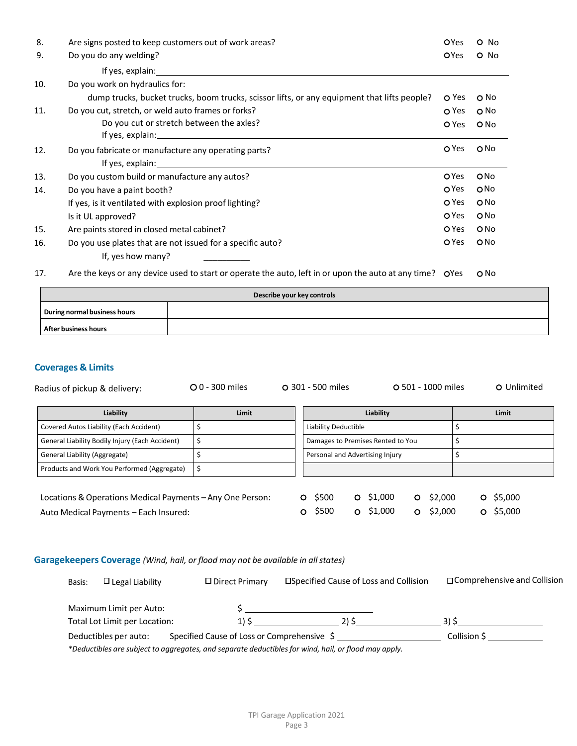| 8.  | Are signs posted to keep customers out of work areas?                                       | OYes         | O No            |
|-----|---------------------------------------------------------------------------------------------|--------------|-----------------|
| 9.  | Do you do any welding?                                                                      | <b>OYes</b>  | O No            |
|     | If yes, explain: example and a series of yes, explaint.                                     |              |                 |
| 10. | Do you work on hydraulics for:                                                              |              |                 |
|     | dump trucks, bucket trucks, boom trucks, scissor lifts, or any equipment that lifts people? | O Yes        | O No            |
| 11. | Do you cut, stretch, or weld auto frames or forks?                                          | O Yes        | O <sub>No</sub> |
|     | Do you cut or stretch between the axles?                                                    | O Yes        | O No            |
|     |                                                                                             |              |                 |
| 12. | Do you fabricate or manufacture any operating parts?                                        | O Yes        | O <sub>No</sub> |
|     |                                                                                             |              |                 |
| 13. | Do you custom build or manufacture any autos?                                               | <b>O</b> Yes | ONo             |
| 14. | Do you have a paint booth?                                                                  | <b>O</b> Yes | ONO             |
|     | If yes, is it ventilated with explosion proof lighting?                                     | O Yes        | O <sub>No</sub> |
|     | Is it UL approved?                                                                          | O Yes        | O No            |
| 15. | Are paints stored in closed metal cabinet?                                                  | O Yes        | O No            |
| 16. | Do you use plates that are not issued for a specific auto?                                  | <b>O</b> Yes | ONO             |
|     | If, yes how many?                                                                           |              |                 |

17. Are the keys or any device used to start or operate the auto, left in or upon the auto at any time? OYes ONo

| Describe your key controls   |  |  |  |  |
|------------------------------|--|--|--|--|
| During normal business hours |  |  |  |  |
| After business hours         |  |  |  |  |

## **Coverages & Limits**

| Radius of pickup & delivery:                              | $O$ 0 - 300 miles | O 301 - 500 miles    |                                   | O 501 - 1000 miles |         |         | O Unlimited |  |
|-----------------------------------------------------------|-------------------|----------------------|-----------------------------------|--------------------|---------|---------|-------------|--|
| Liability                                                 | Limit             |                      | Liability                         |                    |         |         | Limit       |  |
| Covered Autos Liability (Each Accident)                   |                   | Liability Deductible |                                   |                    |         |         |             |  |
| General Liability Bodily Injury (Each Accident)           | \$                |                      | Damages to Premises Rented to You |                    |         |         |             |  |
| General Liability (Aggregate)                             |                   |                      | Personal and Advertising Injury   |                    |         |         |             |  |
| Products and Work You Performed (Aggregate)               | \$                |                      |                                   |                    |         |         |             |  |
|                                                           |                   |                      |                                   |                    |         |         |             |  |
| Locations & Operations Medical Payments - Any One Person: |                   | \$500<br>O           | \$1,000<br>O                      | $\circ$            | \$2,000 | $\circ$ | \$5,000     |  |
| Auto Medical Payments - Each Insured:                     |                   | \$500                | \$1,000<br>$\Omega$               | O.                 | \$2,000 | $\circ$ | \$5,000     |  |

# **Garagekeepers Coverage** *(Wind, hail, or flood may not be available in allstates)*

| Basis: | $\Box$ Legal Liability        | □ Direct Primary | <b>Example 2</b> Cause of Loss and Collision                                                                                                        | □ Comprehensive and Collision |
|--------|-------------------------------|------------------|-----------------------------------------------------------------------------------------------------------------------------------------------------|-------------------------------|
|        | Maximum Limit per Auto:       |                  |                                                                                                                                                     |                               |
|        | Total Lot Limit per Location: | $1)$ S           | 2) S                                                                                                                                                | 315                           |
|        | Deductibles per auto:         |                  | Specified Cause of Loss or Comprehensive \$<br>*Deductibles are subject to aggregates, and separate deductibles for wind, hail, or flood may apply. | Collision \$                  |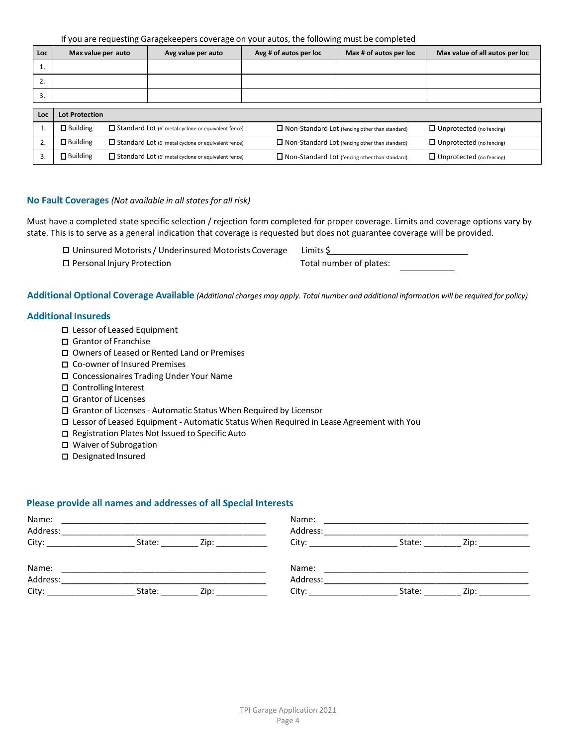If you are requesting Garagekeepers coverage on your autos, the following must be completed

| <b>Loc</b> | Max value per auto    |  | Avg value per auto                                         | Avg # of autos per loc                                | Max # of autos per loc                                | Max value of all autos per loc  |  |
|------------|-----------------------|--|------------------------------------------------------------|-------------------------------------------------------|-------------------------------------------------------|---------------------------------|--|
| 1.         |                       |  |                                                            |                                                       |                                                       |                                 |  |
| 2.         |                       |  |                                                            |                                                       |                                                       |                                 |  |
| 3.         |                       |  |                                                            |                                                       |                                                       |                                 |  |
| Loc        | <b>Lot Protection</b> |  |                                                            |                                                       |                                                       |                                 |  |
|            |                       |  |                                                            |                                                       |                                                       |                                 |  |
|            | $\Box$ Building       |  | Standard Lot (6' metal cyclone or equivalent fence)        |                                                       | $\Box$ Non-Standard Lot (fencing other than standard) | $\Box$ Unprotected (no fencing) |  |
|            | $\Box$ Building       |  | $\Box$ Standard Lot (6' metal cyclone or equivalent fence) | $\Box$ Non-Standard Lot (fencing other than standard) |                                                       | $\Box$ Unprotected (no fencing) |  |
| 3.         | $\Box$ Building       |  | $\Box$ Standard Lot (6' metal cyclone or equivalent fence) |                                                       | $\Box$ Non-Standard Lot (fencing other than standard) |                                 |  |

### **No Fault Coverages** *(Not available in all statesfor all risk)*

Must have a completed state specific selection / rejection form completed for proper coverage. Limits and coverage options vary by state. This is to serve as a general indication that coverage is requested but does not guarantee coverage will be provided.

| □ Uninsured Motorists / Underinsured Motorists Coverage | Limits \$               |
|---------------------------------------------------------|-------------------------|
| □ Personal Injury Protection                            | Total number of plates: |

Additional Optional Coverage Available (Additional charges may apply. Total number and additional information will be required for policy)

### **Additional Insureds**

- □ Lessor of Leased Equipment
- Grantor of Franchise
- Owners of Leased or Rented Land or Premises
- □ Co-owner of Insured Premises
- Concessionaires Trading Under Your Name
- Controlling Interest
- □ Grantor of Licenses
- Grantor of Licenses- Automatic Status When Required by Licensor
- Lessor of Leased Equipment Automatic Status When Required in Lease Agreement with You
- □ Registration Plates Not Issued to Specific Auto
- Waiver of Subrogation
- D Designated Insured

### **Please provide all names and addresses of all Special Interests**

| Name:<br>Address: |        |                                                                                                                                                                                                                                            |          |      |  |  |
|-------------------|--------|--------------------------------------------------------------------------------------------------------------------------------------------------------------------------------------------------------------------------------------------|----------|------|--|--|
| State:            | Zip:   |                                                                                                                                                                                                                                            | State:   | Zip: |  |  |
|                   |        |                                                                                                                                                                                                                                            |          |      |  |  |
|                   | Zip:   | Address:<br>City: the contract of the contract of the contract of the contract of the contract of the contract of the contract of the contract of the contract of the contract of the contract of the contract of the contract of the cont | State:   | Zip: |  |  |
|                   | State: |                                                                                                                                                                                                                                            | Address: |      |  |  |